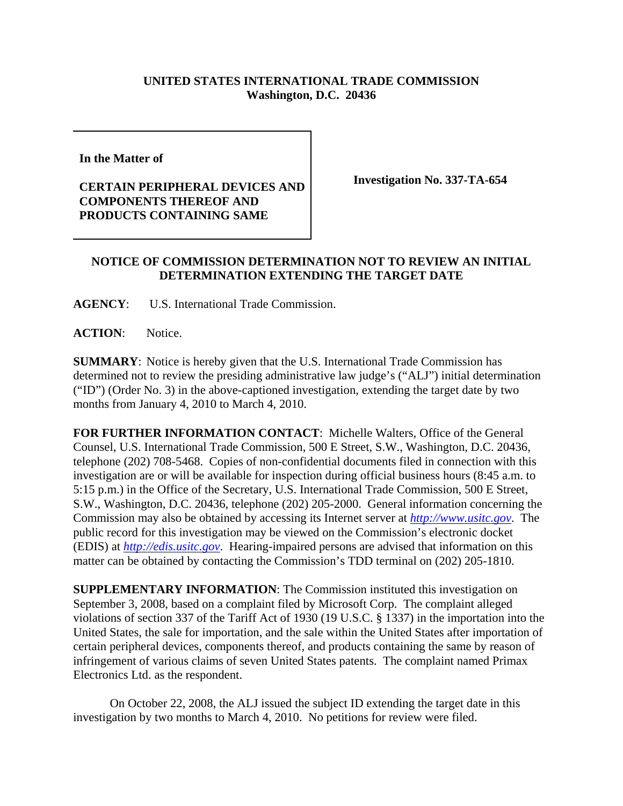## **UNITED STATES INTERNATIONAL TRADE COMMISSION Washington, D.C. 20436**

**In the Matter of** 

## **CERTAIN PERIPHERAL DEVICES AND COMPONENTS THEREOF AND PRODUCTS CONTAINING SAME**

**Investigation No. 337-TA-654**

## **NOTICE OF COMMISSION DETERMINATION NOT TO REVIEW AN INITIAL DETERMINATION EXTENDING THE TARGET DATE**

**AGENCY**: U.S. International Trade Commission.

**ACTION**: Notice.

**SUMMARY**: Notice is hereby given that the U.S. International Trade Commission has determined not to review the presiding administrative law judge's ("ALJ") initial determination ("ID") (Order No. 3) in the above-captioned investigation, extending the target date by two months from January 4, 2010 to March 4, 2010.

**FOR FURTHER INFORMATION CONTACT**: Michelle Walters, Office of the General Counsel, U.S. International Trade Commission, 500 E Street, S.W., Washington, D.C. 20436, telephone (202) 708-5468. Copies of non-confidential documents filed in connection with this investigation are or will be available for inspection during official business hours (8:45 a.m. to 5:15 p.m.) in the Office of the Secretary, U.S. International Trade Commission, 500 E Street, S.W., Washington, D.C. 20436, telephone (202) 205-2000. General information concerning the Commission may also be obtained by accessing its Internet server at *http://www.usitc.gov*. The public record for this investigation may be viewed on the Commission's electronic docket (EDIS) at *http://edis.usitc.gov*. Hearing-impaired persons are advised that information on this matter can be obtained by contacting the Commission's TDD terminal on (202) 205-1810.

**SUPPLEMENTARY INFORMATION**: The Commission instituted this investigation on September 3, 2008, based on a complaint filed by Microsoft Corp. The complaint alleged violations of section 337 of the Tariff Act of 1930 (19 U.S.C. § 1337) in the importation into the United States, the sale for importation, and the sale within the United States after importation of certain peripheral devices, components thereof, and products containing the same by reason of infringement of various claims of seven United States patents. The complaint named Primax Electronics Ltd. as the respondent.

On October 22, 2008, the ALJ issued the subject ID extending the target date in this investigation by two months to March 4, 2010. No petitions for review were filed.